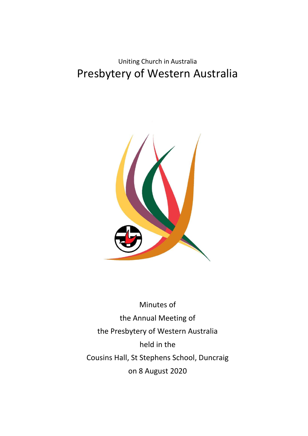Uniting Church in Australia Presbytery of Western Australia



Minutes of the Annual Meeting of the Presbytery of Western Australia held in the Cousins Hall, St Stephens School, Duncraig on 8 August 2020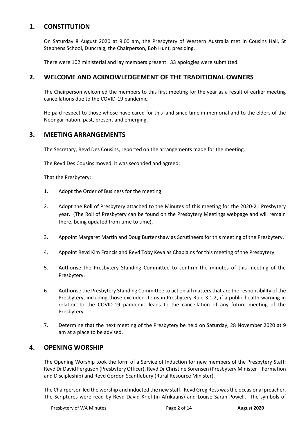# **1. CONSTITUTION**

On Saturday 8 August 2020 at 9.00 am, the Presbytery of Western Australia met in Cousins Hall, St Stephens School, Duncraig, the Chairperson, Bob Hunt, presiding.

There were 102 ministerial and lay members present. 33 apologies were submitted.

## **2. WELCOME AND ACKNOWLEDGEMENT OF THE TRADITIONAL OWNERS**

The Chairperson welcomed the members to this first meeting for the year as a result of earlier meeting cancellations due to the COVID-19 pandemic.

He paid respect to those whose have cared for this land since time immemorial and to the elders of the Noongar nation, past, present and emerging.

## **3. MEETING ARRANGEMENTS**

The Secretary, Revd Des Cousins, reported on the arrangements made for the meeting.

The Revd Des Cousins moved, it was seconded and agreed:

That the Presbytery:

- 1. Adopt the Order of Business for the meeting
- 2. Adopt the Roll of Presbytery attached to the Minutes of this meeting for the 2020-21 Presbytery year. (The Roll of Presbytery can be found on the Presbytery Meetings webpage and will remain there, being updated from time to time),
- 3. Appoint Margaret Martin and Doug Burtenshaw as Scrutineers for this meeting of the Presbytery.
- 4. Appoint Revd Kim Francis and Revd Toby Keva as Chaplains for this meeting of the Presbytery.
- 5. Authorise the Presbytery Standing Committee to confirm the minutes of this meeting of the Presbytery.
- 6. Authorise the Presbytery Standing Committee to act on all matters that are the responsibility of the Presbytery, including those excluded items in Presbytery Rule 3.1.2, if a public health warning in relation to the COVID-19 pandemic leads to the cancellation of any future meeting of the Presbytery.
- 7. Determine that the next meeting of the Presbytery be held on Saturday, 28 November 2020 at 9 am at a place to be advised.

## **4. OPENING WORSHIP**

The Opening Worship took the form of a Service of Induction for new members of the Presbytery Staff: Revd Dr David Ferguson (Presbytery Officer), Revd Dr Christine Sorensen (Presbytery Minister – Formation and Discipleship) and Revd Gordon Scantlebury (Rural Resource Minister).

The Chairperson led the worship and inducted the new staff. Revd Greg Ross was the occasional preacher. The Scriptures were read by Revd David Kriel (in Afrikaans) and Louise Sarah Powell. The symbols of

Presbytery of WA Minutes Page **2** of **14 August 2020**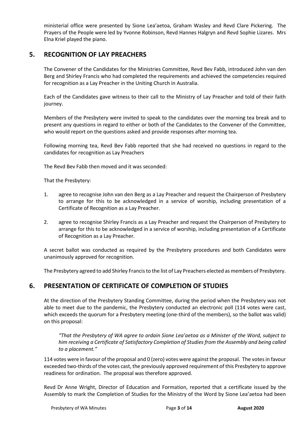ministerial office were presented by Sione Lea'aetoa, Graham Wasley and Revd Clare Pickering. The Prayers of the People were led by Yvonne Robinson, Revd Hannes Halgryn and Revd Sophie Lizares. Mrs Elna Kriel played the piano.

# **5. RECOGNITION OF LAY PREACHERS**

The Convener of the Candidates for the Ministries Committee, Revd Bev Fabb, introduced John van den Berg and Shirley Francis who had completed the requirements and achieved the competencies required for recognition as a Lay Preacher in the Uniting Church in Australia.

Each of the Candidates gave witness to their call to the Ministry of Lay Preacher and told of their faith journey.

Members of the Presbytery were invited to speak to the candidates over the morning tea break and to present any questions in regard to either or both of the Candidates to the Convener of the Committee, who would report on the questions asked and provide responses after morning tea.

Following morning tea, Revd Bev Fabb reported that she had received no questions in regard to the candidates for recognition as Lay Preachers

The Revd Bev Fabb then moved and it was seconded:

That the Presbytery:

- 1. agree to recognise John van den Berg as a Lay Preacher and request the Chairperson of Presbytery to arrange for this to be acknowledged in a service of worship, including presentation of a Certificate of Recognition as a Lay Preacher.
- 2. agree to recognise Shirley Francis as a Lay Preacher and request the Chairperson of Presbytery to arrange for this to be acknowledged in a service of worship, including presentation of a Certificate of Recognition as a Lay Preacher.

A secret ballot was conducted as required by the Presbytery procedures and both Candidates were unanimously approved for recognition.

The Presbytery agreed to add Shirley Francis to the list of Lay Preachers elected as members of Presbytery.

# **6. PRESENTATION OF CERTIFICATE OF COMPLETION OF STUDIES**

At the direction of the Presbytery Standing Committee, during the period when the Presbytery was not able to meet due to the pandemic, the Presbytery conducted an electronic poll (114 votes were cast, which exceeds the quorum for a Presbytery meeting (one-third of the members), so the ballot was valid) on this proposal:

*"That the Presbytery of WA agree to ordain Sione Lea'aetoa as a Minister of the Word, subject to him receiving a Certificate of Satisfactory Completion of Studies from the Assembly and being called to a placement."* 

114 votes were in favour of the proposal and 0 (zero) votes were against the proposal. The votes in favour exceeded two-thirds of the votes cast, the previously approved requirement of this Presbytery to approve readiness for ordination. The proposal was therefore approved.

Revd Dr Anne Wright, Director of Education and Formation, reported that a certificate issued by the Assembly to mark the Completion of Studies for the Ministry of the Word by Sione Lea'aetoa had been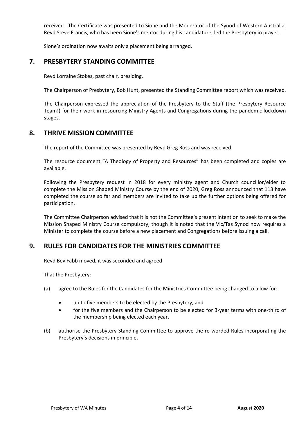received. The Certificate was presented to Sione and the Moderator of the Synod of Western Australia, Revd Steve Francis, who has been Sione's mentor during his candidature, led the Presbytery in prayer.

Sione's ordination now awaits only a placement being arranged.

## **7. PRESBYTERY STANDING COMMITTEE**

Revd Lorraine Stokes, past chair, presiding.

The Chairperson of Presbytery, Bob Hunt, presented the Standing Committee report which was received.

The Chairperson expressed the appreciation of the Presbytery to the Staff (the Presbytery Resource Team!) for their work in resourcing Ministry Agents and Congregations during the pandemic lockdown stages.

## **8. THRIVE MISSION COMMITTEE**

The report of the Committee was presented by Revd Greg Ross and was received.

The resource document "A Theology of Property and Resources" has been completed and copies are available.

Following the Presbytery request in 2018 for every ministry agent and Church councillor/elder to complete the Mission Shaped Ministry Course by the end of 2020, Greg Ross announced that 113 have completed the course so far and members are invited to take up the further options being offered for participation.

The Committee Chairperson advised that it is not the Committee's present intention to seek to make the Mission Shaped Ministry Course compulsory, though it is noted that the Vic/Tas Synod now requires a Minister to complete the course before a new placement and Congregations before issuing a call.

# **9. RULES FOR CANDIDATES FOR THE MINISTRIES COMMITTEE**

Revd Bev Fabb moved, it was seconded and agreed

That the Presbytery:

- (a) agree to the Rules for the Candidates for the Ministries Committee being changed to allow for:
	- up to five members to be elected by the Presbytery, and
	- for the five members and the Chairperson to be elected for 3-year terms with one-third of the membership being elected each year.
- (b) authorise the Presbytery Standing Committee to approve the re-worded Rules incorporating the Presbytery's decisions in principle.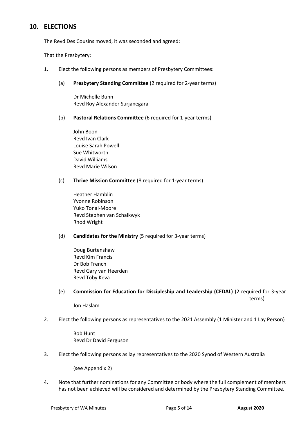# **10. ELECTIONS**

The Revd Des Cousins moved, it was seconded and agreed:

That the Presbytery:

- 1. Elect the following persons as members of Presbytery Committees:
	- (a) **Presbytery Standing Committee** (2 required for 2-year terms)

Dr Michelle Bunn Revd Roy Alexander Surjanegara

(b) **Pastoral Relations Committee** (6 required for 1-year terms)

John Boon Revd Ivan Clark Louise Sarah Powell Sue Whitworth David Williams Revd Marie Wilson

#### (c) **Thrive Mission Committee** (8 required for 1-year terms)

Heather Hamblin Yvonne Robinson Yuko Tonai-Moore Revd Stephen van Schalkwyk Rhod Wright

#### (d) **Candidates for the Ministry** (5 required for 3-year terms)

Doug Burtenshaw Revd Kim Francis Dr Bob French Revd Gary van Heerden Revd Toby Keva

(e) **Commission for Education for Discipleship and Leadership (CEDAL)** (2 required for 3-year terms)

Jon Haslam

2. Elect the following persons as representatives to the 2021 Assembly (1 Minister and 1 Lay Person)

Bob Hunt Revd Dr David Ferguson

3. Elect the following persons as lay representatives to the 2020 Synod of Western Australia

(see Appendix 2)

4. Note that further nominations for any Committee or body where the full complement of members has not been achieved will be considered and determined by the Presbytery Standing Committee.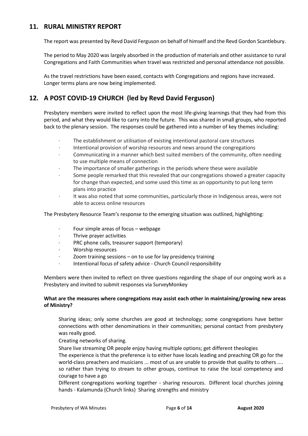## **11. RURAL MINISTRY REPORT**

The report was presented by Revd David Ferguson on behalf of himself and the Revd Gordon Scantlebury.

The period to May 2020 was largely absorbed in the production of materials and other assistance to rural Congregations and Faith Communities when travel was restricted and personal attendance not possible.

As the travel restrictions have been eased, contacts with Congregations and regions have increased. Longer terms plans are now being implemented.

# **12. A POST COVID-19 CHURCH (led by Revd David Ferguson)**

Presbytery members were invited to reflect upon the most life-giving learnings that they had from this period, and what they would like to carry into the future. This was shared in small groups, who reported back to the plenary session. The responses could be gathered into a number of key themes including:

- · The establishment or utilisation of existing intentional pastoral care structures
- · Intentional provision of worship resources and news around the congregations
- · Communicating in a manner which best suited members of the community, often needing to use multiple means of connection
- The importance of smaller gatherings in the periods where these were available
- · Some people remarked that this revealed that our congregations showed a greater capacity for change than expected, and some used this time as an opportunity to put long term plans into practice
- · It was also noted that some communities, particularly those in Indigenous areas, were not able to access online resources

The Presbytery Resource Team's response to the emerging situation was outlined, highlighting:

- Four simple areas of focus webpage
- · Thrive prayer activities
- PRC phone calls, treasurer support (temporary)
- · Worship resources
- · Zoom training sessions on to use for lay presidency training
- Intentional focus of safety advice Church Council responsibility

Members were then invited to reflect on three questions regarding the shape of our ongoing work as a Presbytery and invited to submit responses via SurveyMonkey

### **What are the measures where congregations may assist each other in maintaining/growing new areas of Ministry?**

Sharing ideas; only some churches are good at technology; some congregations have better connections with other denominations in their communities; personal contact from presbytery was really good.

Creating networks of sharing.

Share live streaming OR people enjoy having multiple options; get different theologies

The experience is that the preference is to either have locals leading and preaching OR go for the world-class preachers and musicians ... most of us are unable to provide that quality to others .... so rather than trying to stream to other groups, continue to raise the local competency and courage to have a go

Different congregations working together - sharing resources. Different local churches joining hands - Kalamunda (Church links) Sharing strengths and ministry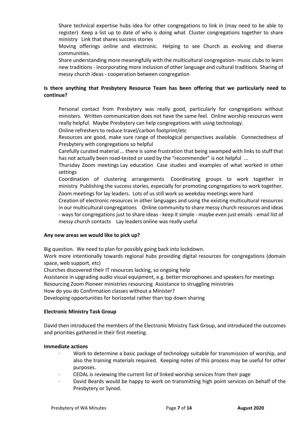Share technical expertise hubs idea for other congregations to link in (may need to be able to register) Keep a list up to date of who is doing what Cluster congregations together to share ministry Link that shares success stories

Moving offerings online and electronic. Helping to see Church as evolving and diverse communities.

Share understanding more meaningfully with the multicultural congregation- music clubs to learn new traditions - incorporating more inclusion of other language and cultural traditions Sharing of messy church ideas - cooperation between congregation

## **Is there anything that Presbytery Resource Team has been offering that we particularly need to continue?**

Personal contact from Presbytery was really good, particularly for congregations without ministers. Written communication does not have the same feel. Online worship resources were really helpful. Maybe Presbytery can help congregations with using technology.

Online refreshers to reduce travel/carbon footprint/etc

Resources are good, make sure range of theological perspectives available. Connectedness of Presbytery with congregations so helpful

Carefully curated material ... there is some frustration that being swamped with links to stuff that has not actually been road-tested or used by the "recommender" is not helpful ...

Thursday Zoom meetings Lay education Case studies and examples of what worked in other settings

Coordination of clustering arrangements Coordinating groups to work together in ministry Publishing the success stories, especially for promoting congregations to work together. Zoom meetings for lay leaders. Lots of us still work so weekday meetings were hard

Creation of electronic resources in other languages and using the existing multicultural resources in our multicultural congregations Online community to share messy church resources and ideas - ways for congregations just to share ideas - keep it simple - maybe even just emails - email list of messy church contacts Lay leaders online was really useful

#### **Any new areas we would like to pick up?**

Big question. We need to plan for possibly going back into lockdown.

Work more intentionally towards regional hubs providing digital resources for congregations (domain space, web support, etc)

Churches discovered their IT resources lacking, so ongoing help

Assistance in upgrading audio visual equipment, e.g. better microphones and speakers for meetings

Resourcing Zoom Pioneer ministries resourcing Assistance to struggling ministries

How do you do Confirmation classes without a Minister?

Developing opportunities for horizontal rather than top down sharing

#### **Electronic Ministry Task Group**

David then introduced the members of the Electronic Ministry Task Group, and introduced the outcomes and priorities gathered in their first meeting.

#### **Immediate actions**

- · Work to determine a basic package of technology suitable for transmission of worship, and also the training materials required. Keeping notes of this process may be useful for other purposes.
- · CEDAL is reviewing the current list of linked worship services from their page
- · David Beards would be happy to work on transmitting high point services on behalf of the Presbytery or Synod.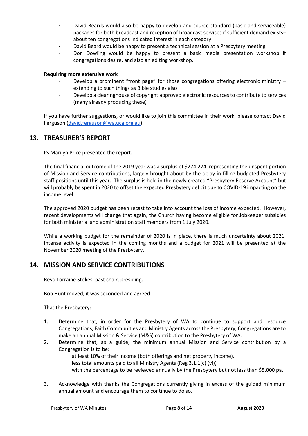- · David Beards would also be happy to develop and source standard (basic and serviceable) packages for both broadcast and reception of broadcast services if sufficient demand exists– about ten congregations indicated interest in each category
- · David Beard would be happy to present a technical session at a Presbytery meeting
- · Don Dowling would be happy to present a basic media presentation workshop if congregations desire, and also an editing workshop.

#### **Requiring more extensive work**

- Develop a prominent "front page" for those congregations offering electronic ministry  $$ extending to such things as Bible studies also
- · Develop a clearinghouse of copyright approved electronic resources to contribute to services (many already producing these)

If you have further suggestions, or would like to join this committee in their work, please contact David Ferguson [\(david.ferguson@wa.uca.org.au\)](mailto:david.ferguson@wa.uca.org.au)

## **13. TREASURER'S REPORT**

Ps Marilyn Price presented the report.

The final financial outcome of the 2019 year was a surplus of \$274,274, representing the unspent portion of Mission and Service contributions, largely brought about by the delay in filling budgeted Presbytery staff positions until this year. The surplus is held in the newly created "Presbytery Reserve Account" but will probably be spent in 2020 to offset the expected Presbytery deficit due to COVID-19 impacting on the income level.

The approved 2020 budget has been recast to take into account the loss of income expected. However, recent developments will change that again, the Church having become eligible for Jobkeeper subsidies for both ministerial and administration staff members from 1 July 2020.

While a working budget for the remainder of 2020 is in place, there is much uncertainty about 2021. Intense activity is expected in the coming months and a budget for 2021 will be presented at the November 2020 meeting of the Presbytery.

## **14. MISSION AND SERVICE CONTRIBUTIONS**

Revd Lorraine Stokes, past chair, presiding.

Bob Hunt moved, it was seconded and agreed:

That the Presbytery:

- 1. Determine that, in order for the Presbytery of WA to continue to support and resource Congregations, Faith Communities and Ministry Agents across the Presbytery, Congregations are to make an annual Mission & Service (M&S) contribution to the Presbytery of WA.
- 2. Determine that, as a guide, the minimum annual Mission and Service contribution by a Congregation is to be:

at least 10% of their income (both offerings and net property income),

less total amounts paid to all Ministry Agents (Reg 3.1.1(c) (vi))

with the percentage to be reviewed annually by the Presbytery but not less than \$5,000 pa.

3. Acknowledge with thanks the Congregations currently giving in excess of the guided minimum annual amount and encourage them to continue to do so.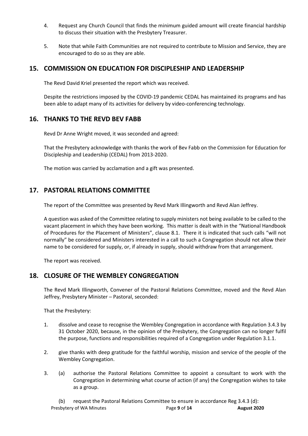- 4. Request any Church Council that finds the minimum guided amount will create financial hardship to discuss their situation with the Presbytery Treasurer.
- 5. Note that while Faith Communities are not required to contribute to Mission and Service, they are encouraged to do so as they are able.

## **15. COMMISSION ON EDUCATION FOR DISCIPLESHIP AND LEADERSHIP**

The Revd David Kriel presented the report which was received.

Despite the restrictions imposed by the COVID-19 pandemic CEDAL has maintained its programs and has been able to adapt many of its activities for delivery by video-conferencing technology.

## **16. THANKS TO THE REVD BEV FABB**

Revd Dr Anne Wright moved, it was seconded and agreed:

That the Presbytery acknowledge with thanks the work of Bev Fabb on the Commission for Education for Discipleship and Leadership (CEDAL) from 2013-2020.

The motion was carried by acclamation and a gift was presented.

# **17. PASTORAL RELATIONS COMMITTEE**

The report of the Committee was presented by Revd Mark Illingworth and Revd Alan Jeffrey.

A question was asked of the Committee relating to supply ministers not being available to be called to the vacant placement in which they have been working. This matter is dealt with in the "National Handbook of Procedures for the Placement of Ministers", clause 8.1. There it is indicated that such calls "will not normally" be considered and Ministers interested in a call to such a Congregation should not allow their name to be considered for supply, or, if already in supply, should withdraw from that arrangement.

The report was received.

# **18. CLOSURE OF THE WEMBLEY CONGREGATION**

The Revd Mark Illingworth, Convener of the Pastoral Relations Committee, moved and the Revd Alan Jeffrey, Presbytery Minister - Pastoral, seconded:

That the Presbytery:

- 1. dissolve and cease to recognise the Wembley Congregation in accordance with Regulation 3.4.3 by 31 October 2020, because, in the opinion of the Presbytery, the Congregation can no longer fulfil the purpose, functions and responsibilities required of a Congregation under Regulation 3.1.1.
- 2. give thanks with deep gratitude for the faithful worship, mission and service of the people of the Wembley Congregation.
- 3. (a) authorise the Pastoral Relations Committee to appoint a consultant to work with the Congregation in determining what course of action (if any) the Congregation wishes to take as a group.

Presbytery of WA Minutes Page **9** of **14 August 2020** (b) request the Pastoral Relations Committee to ensure in accordance Reg 3.4.3 (d):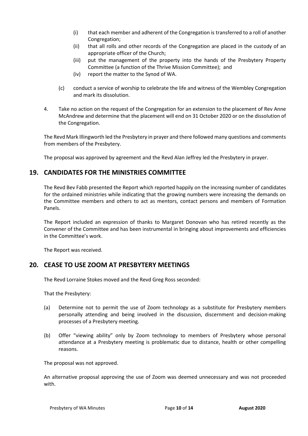- (i) that each member and adherent of the Congregation is transferred to a roll of another Congregation;
- (ii) that all rolls and other records of the Congregation are placed in the custody of an appropriate officer of the Church;
- (iii) put the management of the property into the hands of the Presbytery Property Committee (a function of the Thrive Mission Committee); and
- (iv) report the matter to the Synod of WA.
- (c) conduct a service of worship to celebrate the life and witness of the Wembley Congregation and mark its dissolution.
- 4. Take no action on the request of the Congregation for an extension to the placement of Rev Anne McAndrew and determine that the placement will end on 31 October 2020 or on the dissolution of the Congregation.

The Revd Mark Illingworth led the Presbytery in prayer and there followed many questions and comments from members of the Presbytery.

The proposal was approved by agreement and the Revd Alan Jeffrey led the Presbytery in prayer.

## **19. CANDIDATES FOR THE MINISTRIES COMMITTEE**

The Revd Bev Fabb presented the Report which reported happily on the increasing number of candidates for the ordained ministries while indicating that the growing numbers were increasing the demands on the Committee members and others to act as mentors, contact persons and members of Formation Panels.

The Report included an expression of thanks to Margaret Donovan who has retired recently as the Convener of the Committee and has been instrumental in bringing about improvements and efficiencies in the Committee's work.

The Report was received.

## **20. CEASE TO USE ZOOM AT PRESBYTERY MEETINGS**

The Revd Lorraine Stokes moved and the Revd Greg Ross seconded:

That the Presbytery:

- (a) Determine not to permit the use of Zoom technology as a substitute for Presbytery members personally attending and being involved in the discussion, discernment and decision-making processes of a Presbytery meeting.
- (b) Offer "viewing ability" only by Zoom technology to members of Presbytery whose personal attendance at a Presbytery meeting is problematic due to distance, health or other compelling reasons.

The proposal was not approved.

An alternative proposal approving the use of Zoom was deemed unnecessary and was not proceeded with.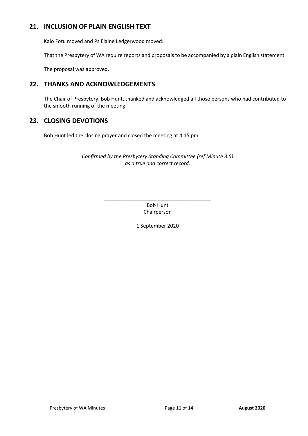# **21. INCLUSION OF PLAIN ENGLISH TEXT**

Kalo Fotu moved and Ps Elaine Ledgerwood moved:

That the Presbytery of WA require reports and proposals to be accompanied by a plain English statement.

The proposal was approved.

# **22. THANKS AND ACKNOWLEDGEMENTS**

The Chair of Presbytery, Bob Hunt, thanked and acknowledged all those persons who had contributed to the smooth running of the meeting.

# **23. CLOSING DEVOTIONS**

Bob Hunt led the closing prayer and closed the meeting at 4.15 pm.

## *Confirmed by the Presbytery Standing Committee (ref Minute 3.5) as a true and correct record.*

\_\_\_\_\_\_\_\_\_\_\_\_\_\_\_\_\_\_\_\_\_\_\_\_\_\_\_\_\_\_\_\_\_\_\_\_\_\_ Bob Hunt Chairperson

1 September 2020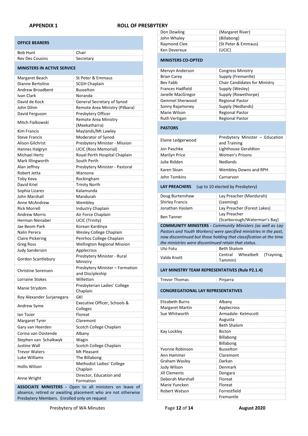#### **APPENDIX 1 ROLL OF PRESBYTERY**

| <b>OFFICE BEARERS</b>              |           |  |
|------------------------------------|-----------|--|
| <b>Bob Hunt</b>                    | Chair     |  |
| <b>Rev Des Cousins</b>             | Secretary |  |
| <b>MINISTERS IN ACTIVE SERVICE</b> |           |  |

| Margaret Beach            | St Peter & Emmaus                  |
|---------------------------|------------------------------------|
| Dianne Bertolino          | <b>SCGH Chaplain</b>               |
| Andrew Broadbent          | <b>Busselton</b>                   |
| Ivan Clark                | Noranda                            |
| David de Kock             | General Secretary of Synod         |
| John Dihm                 | Remote Area Ministry (Pilbara)     |
| David Ferguson            | Presbytery Officer                 |
| Mitch Fialkowski          | Remote Area Ministry               |
|                           | (Meekatharra)                      |
| <b>Kim Francis</b>        | Maylands/Mt Lawley                 |
| <b>Steve Francis</b>      | Moderator of Synod                 |
| Alison Gilchrist          | Presbytery Minister - Mission      |
| Hannes Halgryn            | <b>UCIC (Ross Memorial)</b>        |
| Michael Hertz             | Royal Perth Hospital Chaplain      |
| Mark Illingworth          | South Perth                        |
| Alan Jeffrey              | Presbytery Minister - Pastoral     |
| Robert Jetta              | Waroona                            |
| Toby Keva                 | Rockingham                         |
| David Kriel               | <b>Trinity North</b>               |
| Sophia Lizares            | Kalamunda                          |
| John Marshall             | Mandurah                           |
| Anne McAndrew             | Wembley                            |
| <b>Rick Morrell</b>       | Industry Chaplain                  |
| <b>Andrew Morris</b>      | Air Force Chaplain                 |
| Herman Nienaber           | UCIC (Trinity)                     |
| Jae Beom Park             | Korean Kardinya                    |
| Nalin Perera              | Wesley College Chaplain            |
| <b>Claire Pickering</b>   | Penrhos College Chaplain           |
| <b>Greg Ross</b>          | <b>Wellington Regional Mission</b> |
| <b>Judy Sanderson</b>     | Applecross                         |
| Gordon Scantlebury        | Presbytery Minister - Rural        |
|                           | Ministry                           |
| <b>Christine Sorensen</b> | Presbytery Minister - Formation    |
|                           | and Discipleship                   |
| <b>Lorraine Stokes</b>    | Willetton                          |
| Manie Strydom             | Presbyterian Ladies' College       |
|                           | Chaplain                           |
| Roy Alexander Surjanegara | GKI                                |
| Andrew Syme               | Executive Officer, Schools &       |
|                           | Colleges                           |
| lan Tozer                 | Floreat                            |
| Margaret Tyrer            | Claremont                          |
| Gary van Heerden          | Scotch College Chaplain            |
| Corina van Oostende       | Albany                             |
| Stephen van Schalkwyk     | Wagin                              |
| Justine Wall              | Scotch College Chaplain            |
| <b>Trevor Waters</b>      | Mt Pleasant                        |
| Luke Williams             | The Billabong                      |
| Hollis Wilson             | Methodist Ladies' College          |
|                           | Chaplain                           |
| Anne Wright               | Director, Education and            |
|                           | Formation                          |

**ASSOCIATE MINISTERS -** Open to all ministers on leave of absence, retired or awaiting placement who are not otherwise Presbytery Members. Enrolled only on request

Don Dowling **(Margaret River)** John Whaley (Billabong) Raymond Clee (St Peter & Emmaus) **Ken Devereux (UCIC) MINISTERS CO-OPTED**  Mervyn Anderson **Congress Ministry** Brian Carey Supply (Fremantle)<br>Bey Fabb Chair Candidates fo **Chair Candidates for Ministry** Frances Hadfield Supply (Wesley) Janelle MacGregor Supply (Rowethorpe) Gemmel Sherwood Regional Pastor Sonny Rajamoney<br>
Marie Wilson<br>
Marie Wilson<br>
Supply Regional Pastor Regional Pastor Ruth Vertigan Regional Pastor **PASTORS** Elaine Ledgerwood **Presbytery Minister – Education** and Training Jon Paschke Lighthouse Geraldton Marilyn Price Women's Prisons Julie Ridden Nedlands Karen Sloan Wembley Downs and RPH John Tomkins Carnarvon **LAY PREACHERS** (up to 10 elected by Presbytery) Doug Burtenshaw Lay Preacher (Mandurah) Shirley Francis (Leeming) Jonathan Haslam Lay Preacher (Forest Lakes) Ben Tanner Lay Preacher (Scarborough/Waterman's Bay) **COMMUNITY MINISTERS -** *Community Ministers (as well as Lay Pastors and Youth Workers) were specified ministries in the past, now discontinued but those holding that classification at the time the ministries were discontinued retain that status*. Uto Fotu **Beth Shalom** Valda Knott Central Wheatbelt (Trayning, Tammin) **LAY MINISTRY TEAM REPRESENTATIVES (Rule P2.1.4)**  Trevor Thomas Pinjarra **CONGREGATIONAL LAY REPRESENTATIVES**  Elizabeth Burns Albany Margaret Martin Applecross Sue Whitworth **Armadale- Kelmscott** Augusta Beth Shalom Kay Lockley **Bicton** Billabong Billabong **Yvonne Robinson** Busselton **Ann Hammer** Claremont Graham Wasley **Darkan Judy Wilson Denmark** 

Jill Clements Dongara Deborah Marshall Floreat Marie Yuncken Floreat Robert Watson Forrestfield

Fremantle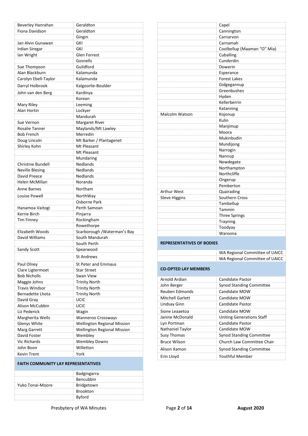| Beverley Hanrahan                         | Geraldton                                      |
|-------------------------------------------|------------------------------------------------|
| Fiona Davidson                            | Geraldton                                      |
|                                           | Gingin                                         |
| Jan Alvin Gunawan                         | <b>GKI</b>                                     |
| <b>Irdian Siregar</b>                     | GKI                                            |
| lan Wright                                | <b>Glen Forrest</b>                            |
|                                           | Gosnells                                       |
| Sue Thompson                              | Guildford                                      |
| Alan Blackburn                            | Kalamunda                                      |
| Carolyn Ebell-Taylor                      | Kalamunda                                      |
| Darryl Holbrook                           | Kalgoorlie-Boulder                             |
| John van den Berg                         | Kardinya                                       |
|                                           | Korean                                         |
| Mary Riley                                | Leeming                                        |
| Alan Hortin                               | Lockyer                                        |
|                                           | Mandurah                                       |
| Sue Vernon                                | <b>Margaret River</b>                          |
| Rosalie Tanner                            | Maylands/Mt Lawley                             |
| <b>Bob French</b>                         | Merredin                                       |
| Doug Lincoln                              | Mt Barker / Plantagenet                        |
| Shirley Kohn                              | Mt Pleasant                                    |
|                                           | Mt Pleasant                                    |
|                                           | Mundaring                                      |
| Christine Bundell                         | <b>Nedlands</b>                                |
| <b>Neville Blesing</b>                    | <b>Nedlands</b>                                |
| David Preece                              | <b>Nedlands</b>                                |
| Helen McMillan                            | Noranda                                        |
| Anne Barnes                               | Northam                                        |
| Louise Powell                             | NorthWay                                       |
|                                           | Osborne Park                                   |
| Hanamoa Vaitogi                           | Perth Samoan                                   |
| Kerrie Birch                              | Pinjarra                                       |
| <b>Tim Finney</b>                         | Rockingham                                     |
|                                           | Rowethorpe                                     |
| Elizabeth Woods<br>David Williams         | Scarborough / Waterman's Bay<br>South Mandurah |
|                                           | South Perth                                    |
| Sandy Scott                               | Spearwood                                      |
|                                           |                                                |
|                                           | <b>St Andrews</b>                              |
| Paul Olney                                | <b>St Peter and Emmaus</b>                     |
| Clare Ligtermoet                          | <b>Star Street</b>                             |
| <b>Bob Nicholls</b>                       | Swan View                                      |
| Maggie Johns                              | <b>Trinity North</b>                           |
| <b>Travis Windsor</b><br>Bernadette Lhota | <b>Trinity North</b>                           |
|                                           | <b>Trinity North</b>                           |
| David Gray<br>Alison McCubbin             | UCIC<br>UCIC                                   |
| Liz Pederick                              | Wagin                                          |
| Margherita Wells                          | <b>Wanneroo Crossways</b>                      |
| Glenys White                              | <b>Wellington Regional Mission</b>             |
| Marg Garrett                              | <b>Wellington Regional Mission</b>             |
| David Foster                              | Wembley                                        |
| <b>Vic Richards</b>                       | <b>Wembley Downs</b>                           |
| John Boon                                 | Willetton                                      |
| <b>Kevin Trent</b>                        | York                                           |
|                                           |                                                |

#### **FAITH COMMUNITY LAY REPRESENTATIVES**

|                  | <b>Badgingarra</b> |  |
|------------------|--------------------|--|
|                  | Bencubbin          |  |
| Yuko Tonai-Moore | Bridgetown         |  |
|                  | <b>Brookton</b>    |  |
|                  | <b>Byford</b>      |  |

|                                  | Capel<br>Cannington              |
|----------------------------------|----------------------------------|
|                                  |                                  |
|                                  | Carnarvon                        |
|                                  | Carnamah                         |
|                                  | Coolbellup (Maaman "O" Mia)      |
|                                  | Cuballing                        |
|                                  | Cunderdin                        |
|                                  | Dowerin                          |
|                                  | Esperance                        |
|                                  | <b>Forest Lakes</b>              |
|                                  | Gidgegannup                      |
|                                  | Greenbushes                      |
|                                  | Hyden                            |
|                                  | Kellerberrin                     |
|                                  | Katanning                        |
| <b>Malcolm Watson</b>            | Kojonup                          |
|                                  | Kulin                            |
|                                  | Manjimup                         |
|                                  | Moora                            |
|                                  | Mukinbudin                       |
|                                  | Mundijong                        |
|                                  | Narrogin                         |
|                                  | Nannup                           |
|                                  | Newdegate                        |
|                                  | Northampton                      |
|                                  | Northcliffe                      |
|                                  | Ongerup                          |
|                                  | Pemberton                        |
| Arthur West                      | Quairading                       |
| <b>Steve Higgins</b>             | Southern Cross                   |
|                                  | Tambellup                        |
|                                  | Tammin                           |
|                                  | <b>Three Springs</b>             |
|                                  | Trayning                         |
|                                  | Toodyay                          |
|                                  | Waroona                          |
|                                  |                                  |
| <b>REPRESENTATIVES OF BODIES</b> |                                  |
|                                  |                                  |
|                                  | WA Regional Committee of UAICC   |
|                                  | WA Regional Committee of UAICC   |
| <b>CO-OPTED LAY MEMBERS</b>      |                                  |
|                                  |                                  |
| Arnold Ardian                    | <b>Candidate Pastor</b>          |
| John Berger                      | <b>Synod Standing Committee</b>  |
| <b>Reuben Edmonds</b>            | Candidate MOW                    |
| <b>Mitchell Garlett</b>          | Candidate MOW                    |
| Lindsay Ginn                     | <b>Candidate Pastor</b>          |
|                                  |                                  |
| Sione Leaaetoa                   | Candidate MOW                    |
| Janine McDonald                  | <b>Uniting Generations Staff</b> |
| Lyn Portman                      | <b>Candidate Pastor</b>          |

Nathaniel Taylor Candidate MOW

Erin Lloyd Youthful Member

Susy Thomas Susy Thomas Synod Standing Committee Bruce Wilson Church Law Committee Chair Alison Xamon Synod Standing Committee